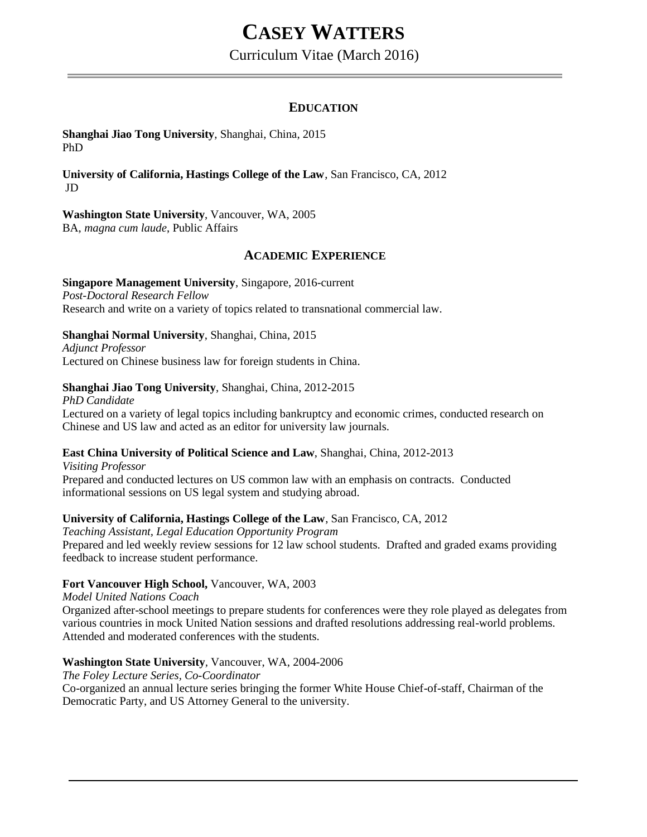# **CASEY WATTERS**

Curriculum Vitae (March 2016)

# **EDUCATION**

#### **Shanghai Jiao Tong University**, Shanghai, China, 2015 PhD

**University of California, Hastings College of the Law**, San Francisco, CA, 2012 JD

# **Washington State University**, Vancouver, WA, 2005

BA, *magna cum laude*, Public Affairs

# **ACADEMIC EXPERIENCE**

#### **Singapore Management University**, Singapore, 2016-current *Post-Doctoral Research Fellow* Research and write on a variety of topics related to transnational commercial law.

# **Shanghai Normal University**, Shanghai, China, 2015

*Adjunct Professor* Lectured on Chinese business law for foreign students in China.

# **Shanghai Jiao Tong University**, Shanghai, China, 2012-2015

*PhD Candidate* Lectured on a variety of legal topics including bankruptcy and economic crimes, conducted research on Chinese and US law and acted as an editor for university law journals.

# **East China University of Political Science and Law**, Shanghai, China, 2012-2013

*Visiting Professor* Prepared and conducted lectures on US common law with an emphasis on contracts. Conducted informational sessions on US legal system and studying abroad.

# **University of California, Hastings College of the Law**, San Francisco, CA, 2012

*Teaching Assistant, Legal Education Opportunity Program* Prepared and led weekly review sessions for 12 law school students. Drafted and graded exams providing feedback to increase student performance.

# **Fort Vancouver High School,** Vancouver, WA, 2003

*Model United Nations Coach*

Organized after-school meetings to prepare students for conferences were they role played as delegates from various countries in mock United Nation sessions and drafted resolutions addressing real-world problems. Attended and moderated conferences with the students.

# **Washington State University***,* Vancouver, WA, 2004-2006

*The Foley Lecture Series, Co-Coordinator* Co-organized an annual lecture series bringing the former White House Chief-of-staff, Chairman of the Democratic Party, and US Attorney General to the university.